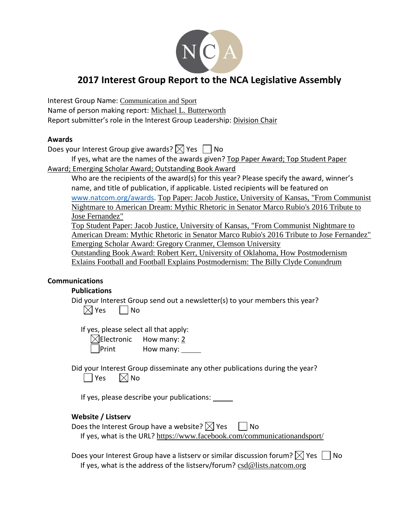

# **2017 Interest Group Report to the NCA Legislative Assembly**

Interest Group Name: Communication and Sport Name of person making report: Michael L. Butterworth Report submitter's role in the Interest Group Leadership: Division Chair

### **Awards**

Does your Interest Group give awards?  $\boxtimes$  Yes  $\Box$  No

If yes, what are the names of the awards given? Top Paper Award; Top Student Paper Award; Emerging Scholar Award; Outstanding Book Award

Who are the recipients of the award(s) for this year? Please specify the award, winner's name, and title of publication, if applicable. Listed recipients will be featured on [www.natcom.org/awards.](http://www.natcom.org/awards) Top Paper: Jacob Justice, University of Kansas, "From Communist Nightmare to American Dream: Mythic Rhetoric in Senator Marco Rubio's 2016 Tribute to Jose Fernandez"

Top Student Paper: Jacob Justice, University of Kansas, "From Communist Nightmare to American Dream: Mythic Rhetoric in Senator Marco Rubio's 2016 Tribute to Jose Fernandez" Emerging Scholar Award: Gregory Cranmer, Clemson University

Outstanding Book Award: Robert Kerr, University of Oklahoma, How Postmodernism Exlains Football and Football Explains Postmodernism: The Billy Clyde Conundrum

## **Communications**

## **Publications**

Did your Interest Group send out a newsletter(s) to your members this year?  $\boxtimes$  Yes  $\Box$  No

If yes, please select all that apply:

| $\boxtimes$ Electronic | How many: 2 |
|------------------------|-------------|
| $\Box$ Print           | How many:   |

Did your Interest Group disseminate any other publications during the year?  $|$  Yes  $| \times |$  No

If yes, please describe your publications:

## **Website / Listserv**

| Does the Interest Group have a website? $\boxtimes$ Yes | │   No                                                                   |
|---------------------------------------------------------|--------------------------------------------------------------------------|
|                                                         | If yes, what is the URL? https://www.facebook.com/communicationandsport/ |

Does your Interest Group have a listserv or similar discussion forum?  $\boxtimes$  Yes  $\Box$  No If yes, what is the address of the listserv/forum? csd@lists.natcom.org